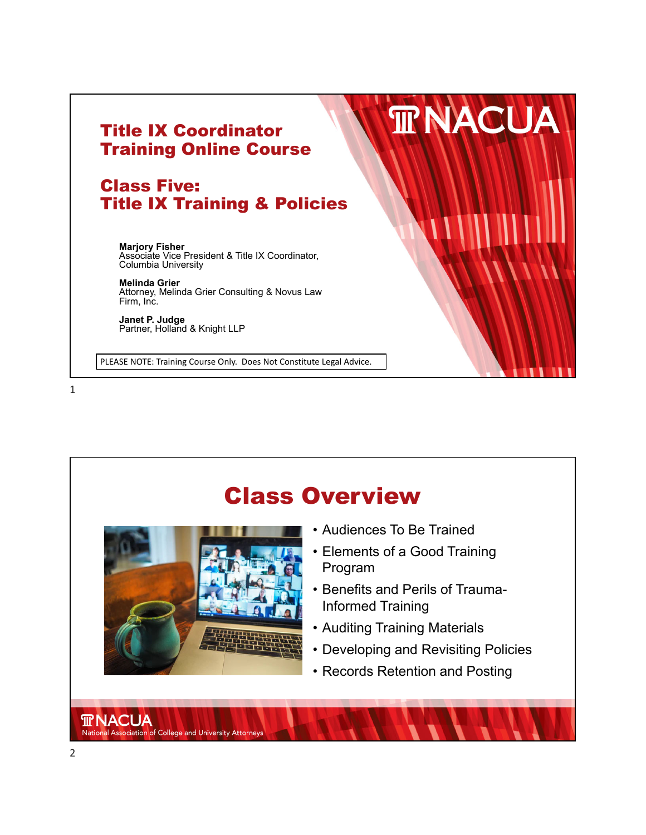



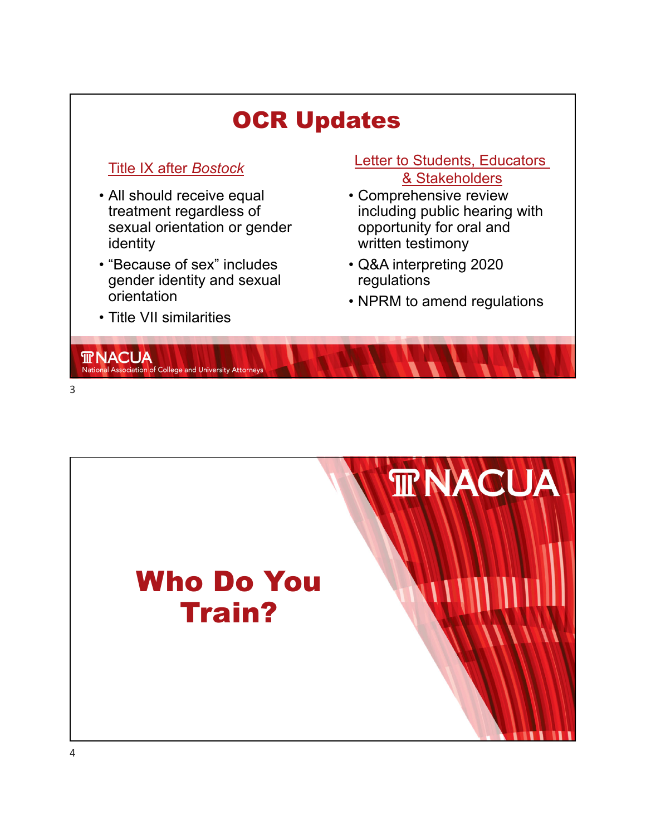

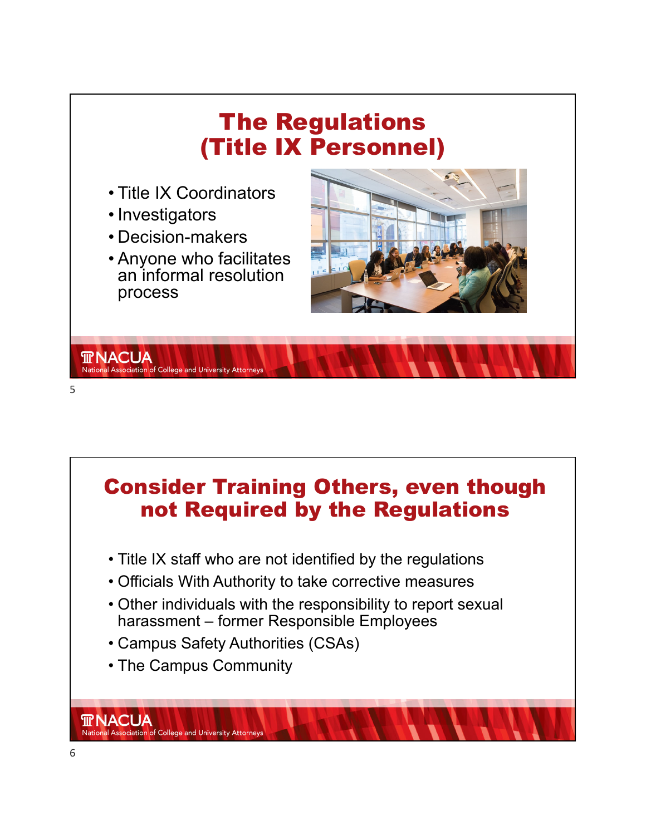

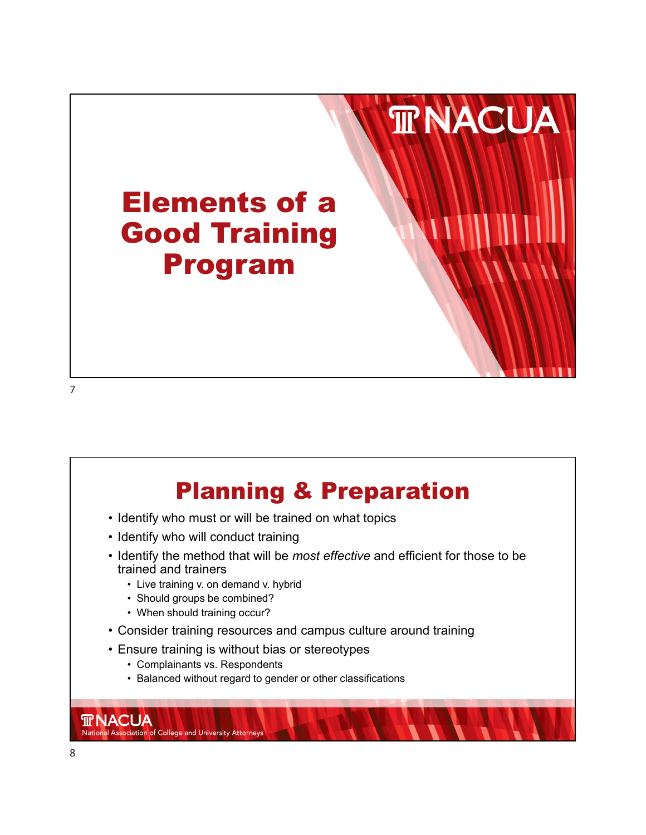



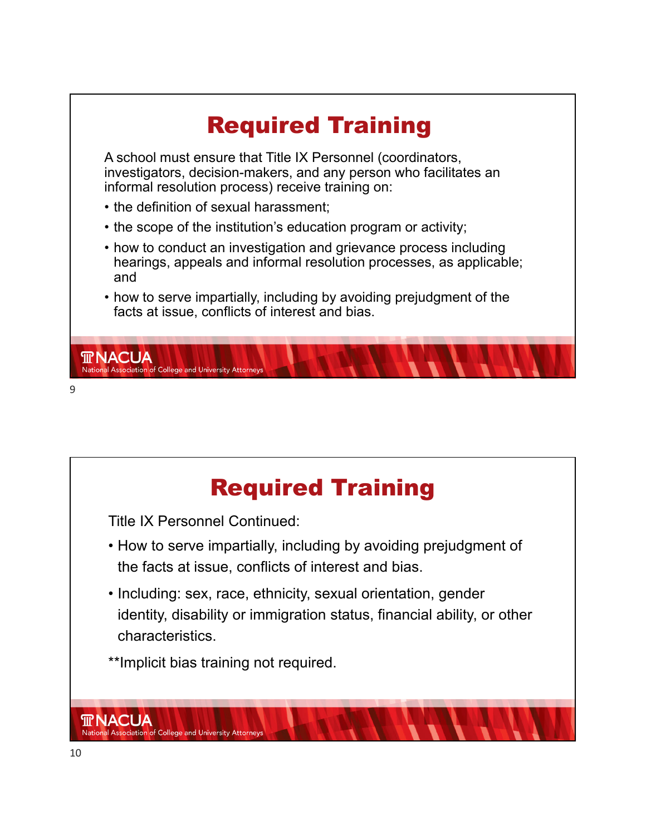

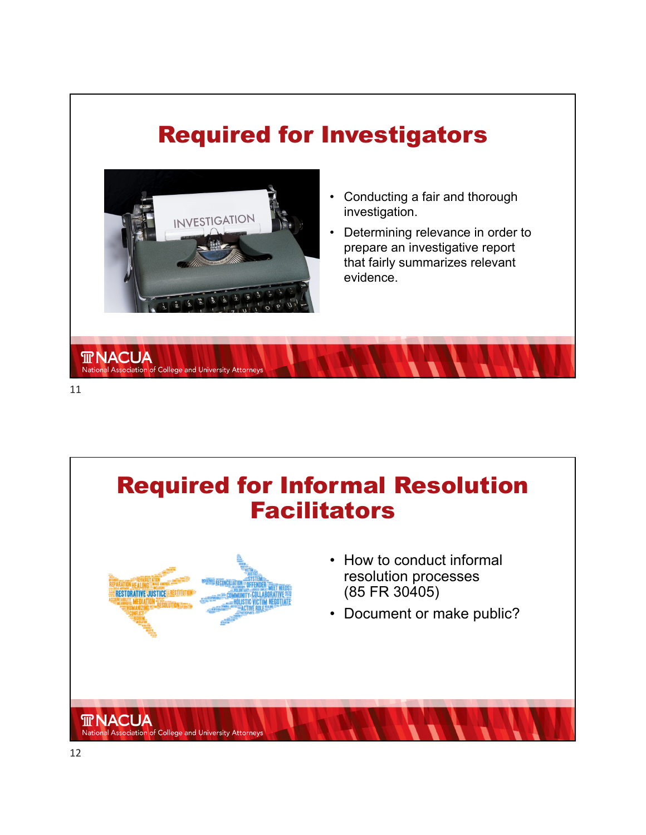## Required for Investigators



National Association of College and University Attorneys

- Conducting a fair and thorough investigation.
- Determining relevance in order to prepare an investigative report that fairly summarizes relevant evidence.





- How to conduct informal resolution processes (85 FR 30405)
- Document or make public?

**TRNACUA** 

National Association of College and University Attorneys

11

**TRNACUA**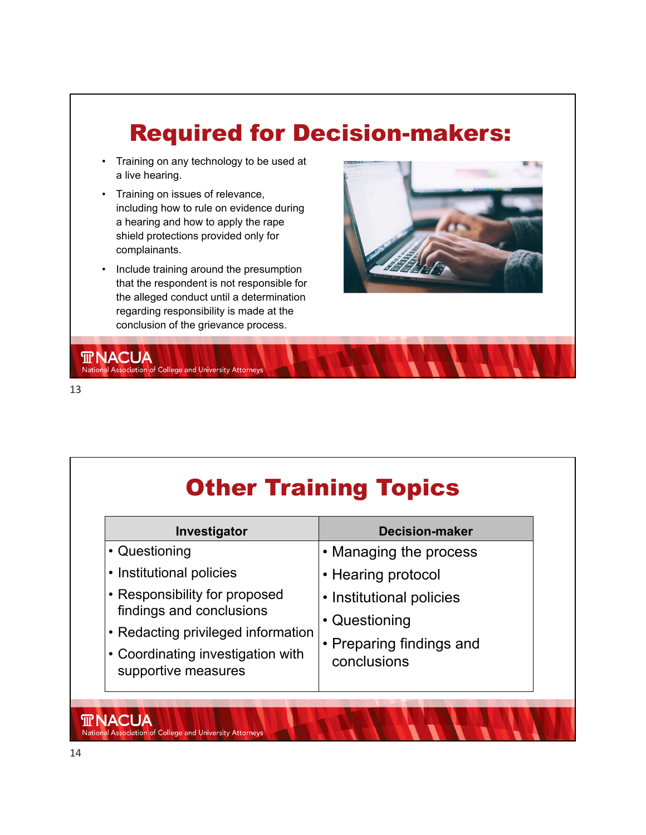# Required for Decision-makers:

- Training on any technology to be used at a live hearing.
- Training on issues of relevance, including how to rule on evidence during a hearing and how to apply the rape shield protections provided only for complainants.
- Include training around the presumption that the respondent is not responsible for the alleged conduct until a determination regarding responsibility is made at the conclusion of the grievance process.

National Association of College and University Attorneys



# **Other Training Topics**

| Investigator                                                                                                                                                | <b>Decision-maker</b>                                                                |
|-------------------------------------------------------------------------------------------------------------------------------------------------------------|--------------------------------------------------------------------------------------|
| • Questioning                                                                                                                                               | • Managing the process                                                               |
| • Institutional policies                                                                                                                                    | • Hearing protocol                                                                   |
| • Responsibility for proposed<br>findings and conclusions<br>• Redacting privileged information<br>• Coordinating investigation with<br>supportive measures | • Institutional policies<br>• Questioning<br>• Preparing findings and<br>conclusions |

**TRNACUA** 

National Association of College and University Attorneys

13

**TRNACUA**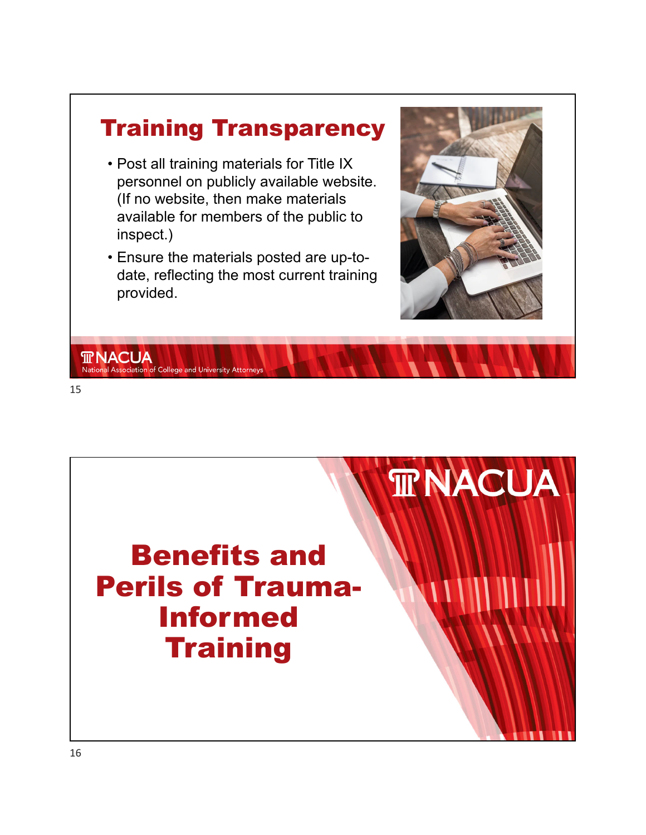

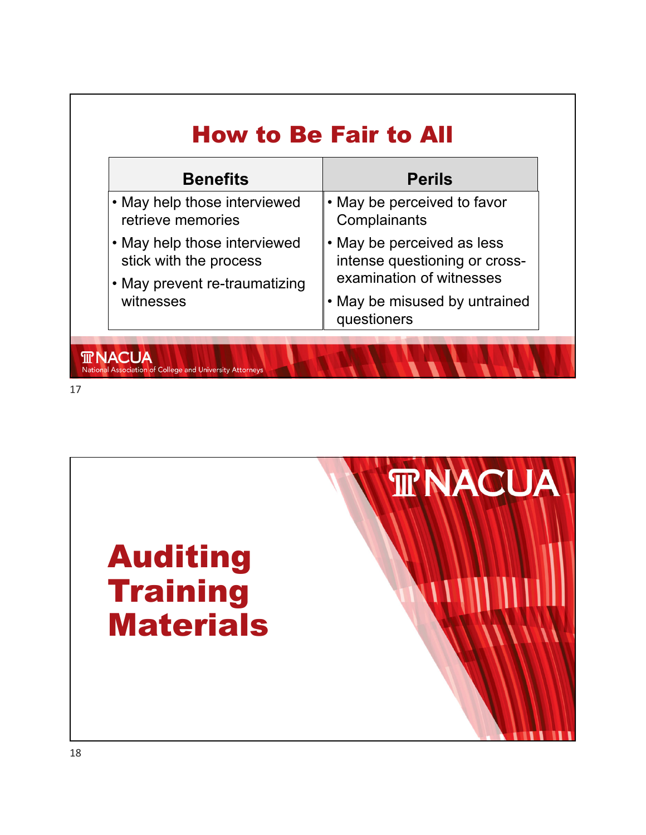| <b>Benefits</b>                                                                                      | <b>Perils</b>                                                                           |
|------------------------------------------------------------------------------------------------------|-----------------------------------------------------------------------------------------|
| • May help those interviewed<br>retrieve memories                                                    | • May be perceived to favor<br>Complainants                                             |
| • May help those interviewed<br>stick with the process<br>• May prevent re-traumatizing<br>witnesses | • May be perceived as less<br>intense questioning or cross-<br>examination of witnesses |
|                                                                                                      | • May be misused by untrained<br>questioners                                            |

17

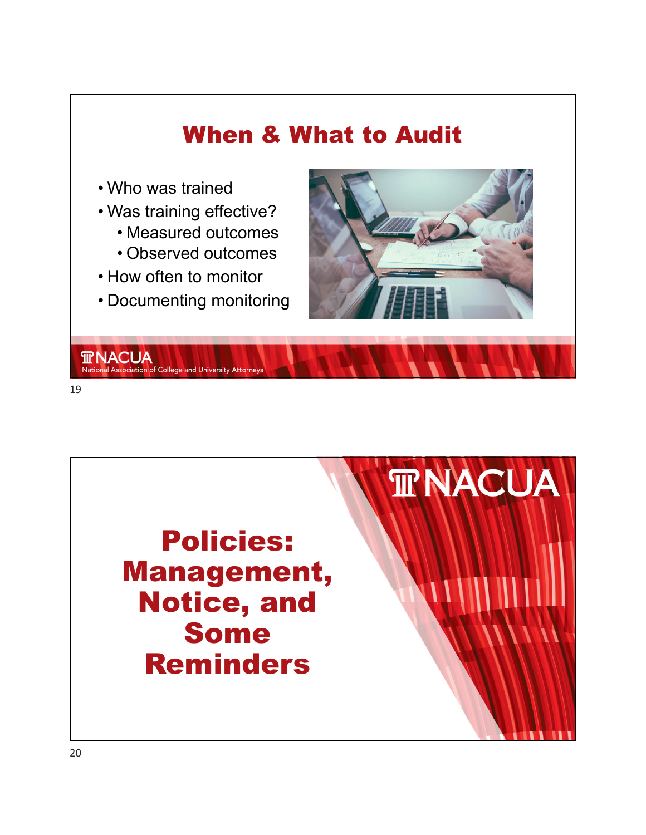

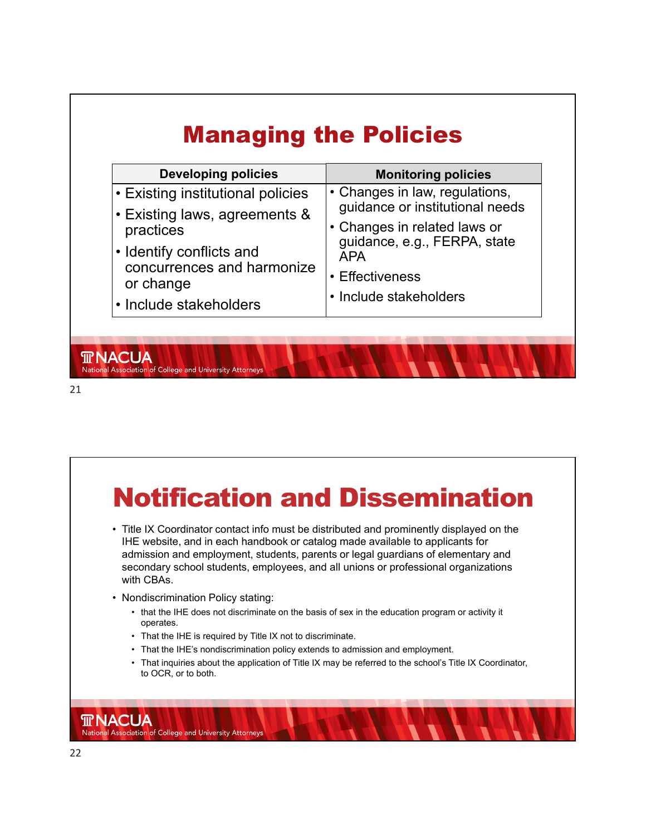| <b>Developing policies</b>                             | <b>Monitoring policies</b>                                                                                                                      |
|--------------------------------------------------------|-------------------------------------------------------------------------------------------------------------------------------------------------|
| • Existing institutional policies                      | • Changes in law, regulations,<br>guidance or institutional needs<br>• Changes in related laws or<br>guidance, e.g., FERPA, state<br><b>APA</b> |
| • Existing laws, agreements &<br>practices             |                                                                                                                                                 |
| • Identify conflicts and<br>concurrences and harmonize |                                                                                                                                                 |
| or change                                              | • Effectiveness                                                                                                                                 |
| • Include stakeholders                                 | • Include stakeholders                                                                                                                          |

**TRACUA** 

National Association of College and University Attorneys

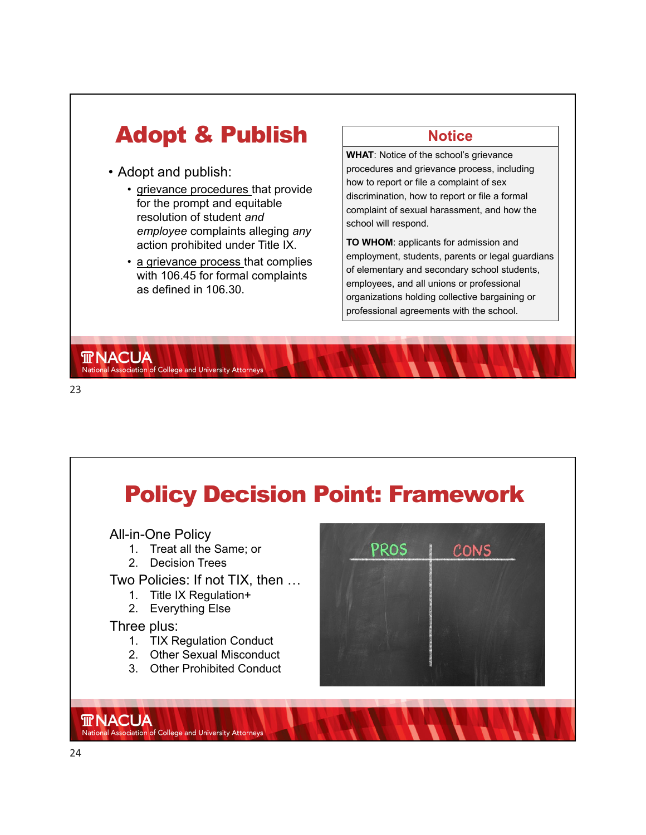



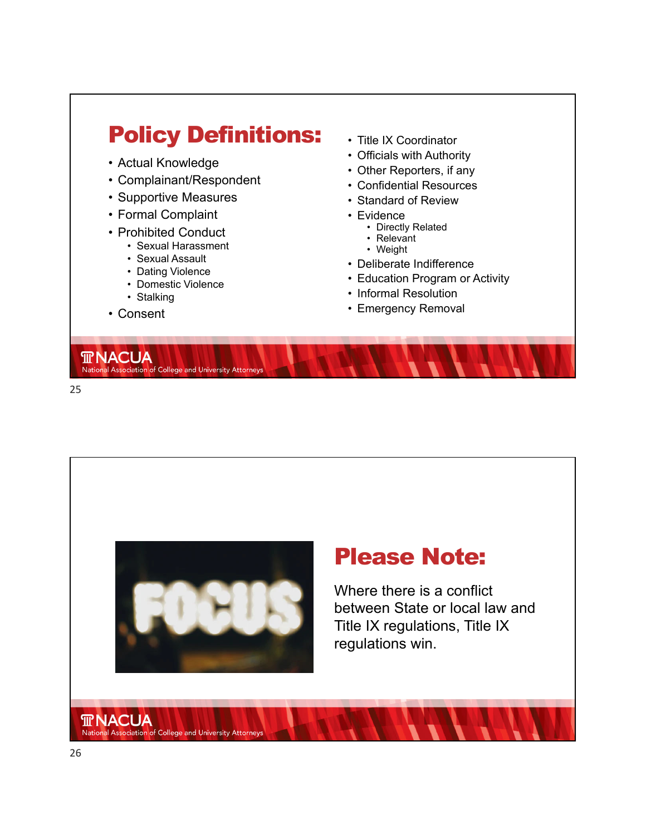



### Please Note:

Where there is a conflict between State or local law and Title IX regulations, Title IX regulations win.

**TRNACUA** 

National Association of College and University Attorneys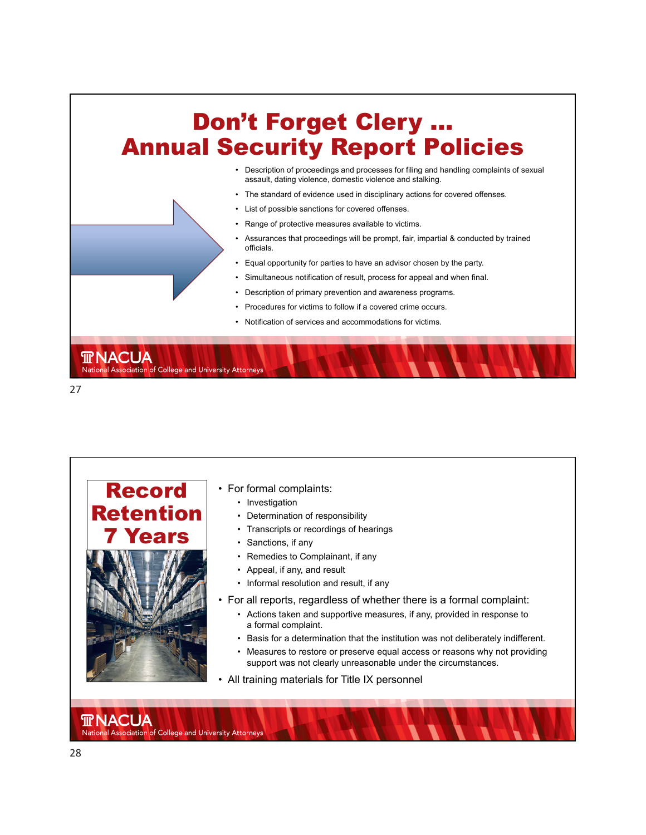

27